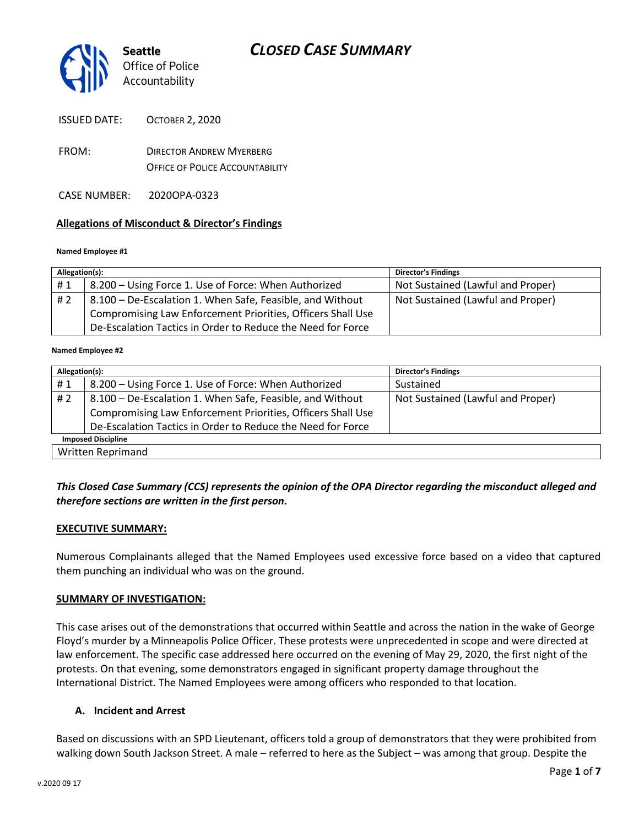

ISSUED DATE: OCTOBER 2, 2020

- FROM: DIRECTOR ANDREW MYERBERG OFFICE OF POLICE ACCOUNTABILITY
- CASE NUMBER: 2020OPA-0323

### **Allegations of Misconduct & Director's Findings**

#### **Named Employee #1**

| Allegation(s): |                                                             | <b>Director's Findings</b>        |
|----------------|-------------------------------------------------------------|-----------------------------------|
| #1             | 8.200 – Using Force 1. Use of Force: When Authorized        | Not Sustained (Lawful and Proper) |
| #2             | 8.100 – De-Escalation 1. When Safe, Feasible, and Without   | Not Sustained (Lawful and Proper) |
|                | Compromising Law Enforcement Priorities, Officers Shall Use |                                   |
|                | De-Escalation Tactics in Order to Reduce the Need for Force |                                   |

#### Ι **Named Employee #2**

| Allegation(s):            |                                                             | Director's Findings               |  |
|---------------------------|-------------------------------------------------------------|-----------------------------------|--|
| #1                        | 8.200 - Using Force 1. Use of Force: When Authorized        | Sustained                         |  |
| # 2                       | 8.100 - De-Escalation 1. When Safe, Feasible, and Without   | Not Sustained (Lawful and Proper) |  |
|                           | Compromising Law Enforcement Priorities, Officers Shall Use |                                   |  |
|                           | De-Escalation Tactics in Order to Reduce the Need for Force |                                   |  |
| <b>Imposed Discipline</b> |                                                             |                                   |  |
| Written Reprimand         |                                                             |                                   |  |

## *This Closed Case Summary (CCS) represents the opinion of the OPA Director regarding the misconduct alleged and therefore sections are written in the first person.*

### **EXECUTIVE SUMMARY:**

Numerous Complainants alleged that the Named Employees used excessive force based on a video that captured them punching an individual who was on the ground.

### **SUMMARY OF INVESTIGATION:**

This case arises out of the demonstrations that occurred within Seattle and across the nation in the wake of George Floyd's murder by a Minneapolis Police Officer. These protests were unprecedented in scope and were directed at law enforcement. The specific case addressed here occurred on the evening of May 29, 2020, the first night of the protests. On that evening, some demonstrators engaged in significant property damage throughout the International District. The Named Employees were among officers who responded to that location.

### **A. Incident and Arrest**

Based on discussions with an SPD Lieutenant, officers told a group of demonstrators that they were prohibited from walking down South Jackson Street. A male – referred to here as the Subject – was among that group. Despite the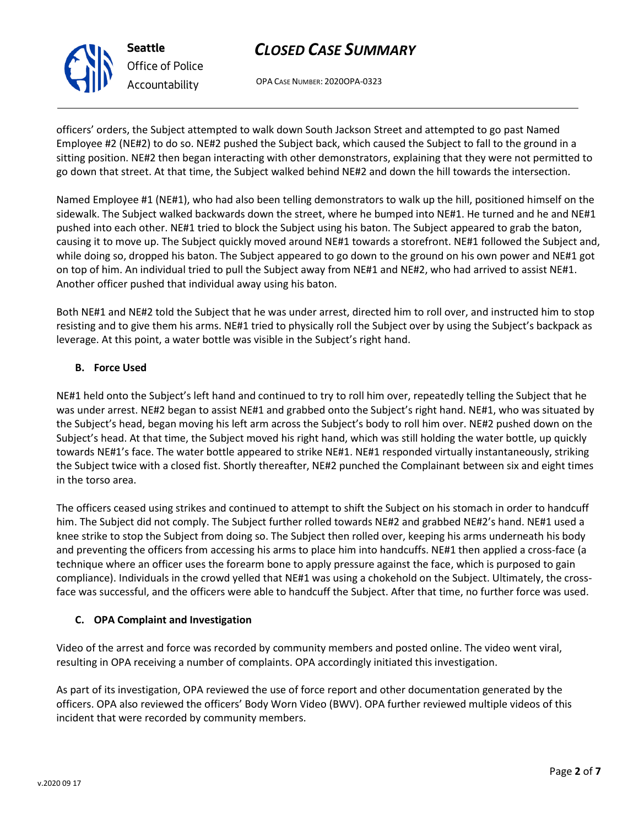OPA CASE NUMBER: 2020OPA-0323

officers' orders, the Subject attempted to walk down South Jackson Street and attempted to go past Named Employee #2 (NE#2) to do so. NE#2 pushed the Subject back, which caused the Subject to fall to the ground in a sitting position. NE#2 then began interacting with other demonstrators, explaining that they were not permitted to go down that street. At that time, the Subject walked behind NE#2 and down the hill towards the intersection.

Named Employee #1 (NE#1), who had also been telling demonstrators to walk up the hill, positioned himself on the sidewalk. The Subject walked backwards down the street, where he bumped into NE#1. He turned and he and NE#1 pushed into each other. NE#1 tried to block the Subject using his baton. The Subject appeared to grab the baton, causing it to move up. The Subject quickly moved around NE#1 towards a storefront. NE#1 followed the Subject and, while doing so, dropped his baton. The Subject appeared to go down to the ground on his own power and NE#1 got on top of him. An individual tried to pull the Subject away from NE#1 and NE#2, who had arrived to assist NE#1. Another officer pushed that individual away using his baton.

Both NE#1 and NE#2 told the Subject that he was under arrest, directed him to roll over, and instructed him to stop resisting and to give them his arms. NE#1 tried to physically roll the Subject over by using the Subject's backpack as leverage. At this point, a water bottle was visible in the Subject's right hand.

## **B. Force Used**

NE#1 held onto the Subject's left hand and continued to try to roll him over, repeatedly telling the Subject that he was under arrest. NE#2 began to assist NE#1 and grabbed onto the Subject's right hand. NE#1, who was situated by the Subject's head, began moving his left arm across the Subject's body to roll him over. NE#2 pushed down on the Subject's head. At that time, the Subject moved his right hand, which was still holding the water bottle, up quickly towards NE#1's face. The water bottle appeared to strike NE#1. NE#1 responded virtually instantaneously, striking the Subject twice with a closed fist. Shortly thereafter, NE#2 punched the Complainant between six and eight times in the torso area.

The officers ceased using strikes and continued to attempt to shift the Subject on his stomach in order to handcuff him. The Subject did not comply. The Subject further rolled towards NE#2 and grabbed NE#2's hand. NE#1 used a knee strike to stop the Subject from doing so. The Subject then rolled over, keeping his arms underneath his body and preventing the officers from accessing his arms to place him into handcuffs. NE#1 then applied a cross-face (a technique where an officer uses the forearm bone to apply pressure against the face, which is purposed to gain compliance). Individuals in the crowd yelled that NE#1 was using a chokehold on the Subject. Ultimately, the crossface was successful, and the officers were able to handcuff the Subject. After that time, no further force was used.

## **C. OPA Complaint and Investigation**

Video of the arrest and force was recorded by community members and posted online. The video went viral, resulting in OPA receiving a number of complaints. OPA accordingly initiated this investigation.

As part of its investigation, OPA reviewed the use of force report and other documentation generated by the officers. OPA also reviewed the officers' Body Worn Video (BWV). OPA further reviewed multiple videos of this incident that were recorded by community members.



**Seattle** *Office of Police Accountability*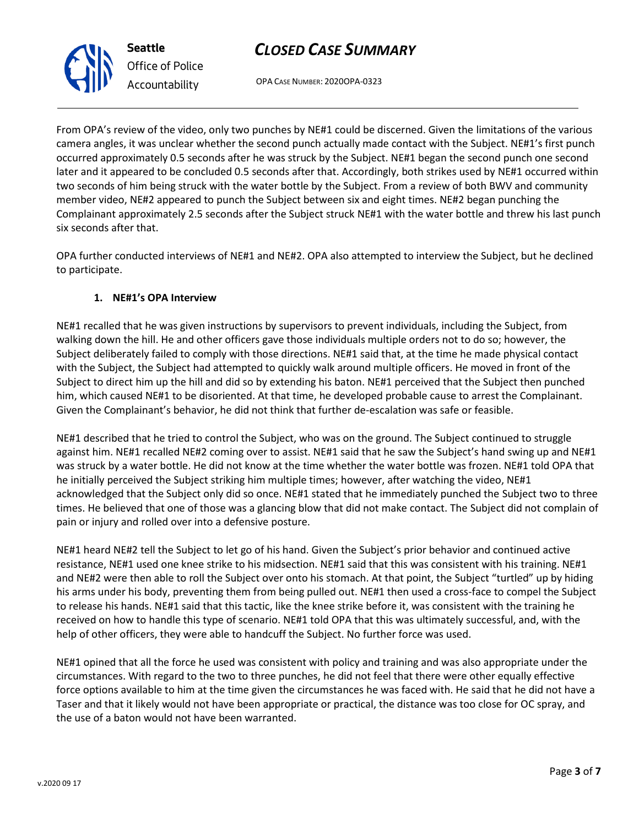OPA CASE NUMBER: 2020OPA-0323

From OPA's review of the video, only two punches by NE#1 could be discerned. Given the limitations of the various camera angles, it was unclear whether the second punch actually made contact with the Subject. NE#1's first punch occurred approximately 0.5 seconds after he was struck by the Subject. NE#1 began the second punch one second later and it appeared to be concluded 0.5 seconds after that. Accordingly, both strikes used by NE#1 occurred within two seconds of him being struck with the water bottle by the Subject. From a review of both BWV and community member video, NE#2 appeared to punch the Subject between six and eight times. NE#2 began punching the Complainant approximately 2.5 seconds after the Subject struck NE#1 with the water bottle and threw his last punch six seconds after that.

OPA further conducted interviews of NE#1 and NE#2. OPA also attempted to interview the Subject, but he declined to participate.

## **1. NE#1's OPA Interview**

NE#1 recalled that he was given instructions by supervisors to prevent individuals, including the Subject, from walking down the hill. He and other officers gave those individuals multiple orders not to do so; however, the Subject deliberately failed to comply with those directions. NE#1 said that, at the time he made physical contact with the Subject, the Subject had attempted to quickly walk around multiple officers. He moved in front of the Subject to direct him up the hill and did so by extending his baton. NE#1 perceived that the Subject then punched him, which caused NE#1 to be disoriented. At that time, he developed probable cause to arrest the Complainant. Given the Complainant's behavior, he did not think that further de-escalation was safe or feasible.

NE#1 described that he tried to control the Subject, who was on the ground. The Subject continued to struggle against him. NE#1 recalled NE#2 coming over to assist. NE#1 said that he saw the Subject's hand swing up and NE#1 was struck by a water bottle. He did not know at the time whether the water bottle was frozen. NE#1 told OPA that he initially perceived the Subject striking him multiple times; however, after watching the video, NE#1 acknowledged that the Subject only did so once. NE#1 stated that he immediately punched the Subject two to three times. He believed that one of those was a glancing blow that did not make contact. The Subject did not complain of pain or injury and rolled over into a defensive posture.

NE#1 heard NE#2 tell the Subject to let go of his hand. Given the Subject's prior behavior and continued active resistance, NE#1 used one knee strike to his midsection. NE#1 said that this was consistent with his training. NE#1 and NE#2 were then able to roll the Subject over onto his stomach. At that point, the Subject "turtled" up by hiding his arms under his body, preventing them from being pulled out. NE#1 then used a cross-face to compel the Subject to release his hands. NE#1 said that this tactic, like the knee strike before it, was consistent with the training he received on how to handle this type of scenario. NE#1 told OPA that this was ultimately successful, and, with the help of other officers, they were able to handcuff the Subject. No further force was used.

NE#1 opined that all the force he used was consistent with policy and training and was also appropriate under the circumstances. With regard to the two to three punches, he did not feel that there were other equally effective force options available to him at the time given the circumstances he was faced with. He said that he did not have a Taser and that it likely would not have been appropriate or practical, the distance was too close for OC spray, and the use of a baton would not have been warranted.



**Seattle** *Office of Police Accountability*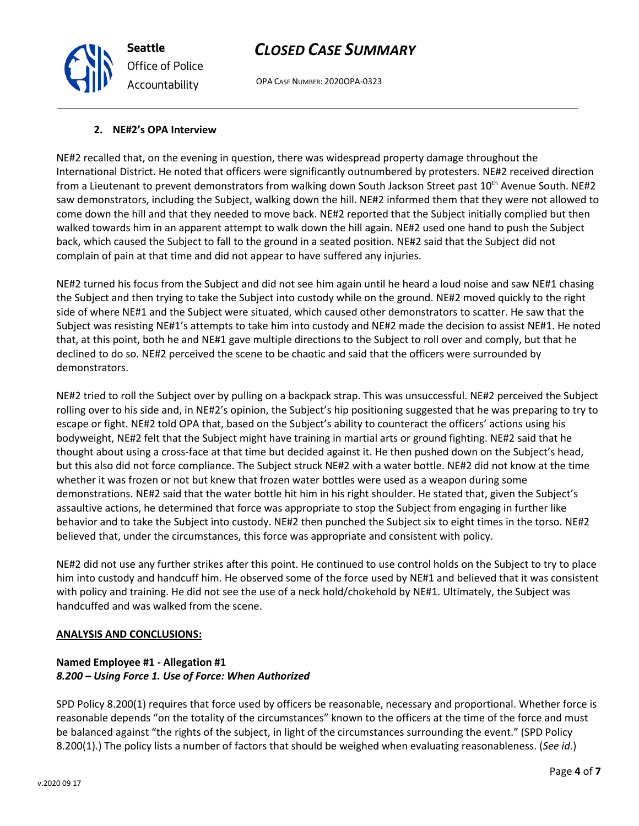OPA CASE NUMBER: 2020OPA-0323

#### **2. NE#2's OPA Interview**

**Seattle**

*Office of Police*

*Accountability*

NE#2 recalled that, on the evening in question, there was widespread property damage throughout the International District. He noted that officers were significantly outnumbered by protesters. NE#2 received direction from a Lieutenant to prevent demonstrators from walking down South Jackson Street past 10<sup>th</sup> Avenue South. NE#2 saw demonstrators, including the Subject, walking down the hill. NE#2 informed them that they were not allowed to come down the hill and that they needed to move back. NE#2 reported that the Subject initially complied but then walked towards him in an apparent attempt to walk down the hill again. NE#2 used one hand to push the Subject back, which caused the Subject to fall to the ground in a seated position. NE#2 said that the Subject did not complain of pain at that time and did not appear to have suffered any injuries.

NE#2 turned his focus from the Subject and did not see him again until he heard a loud noise and saw NE#1 chasing the Subject and then trying to take the Subject into custody while on the ground. NE#2 moved quickly to the right side of where NE#1 and the Subject were situated, which caused other demonstrators to scatter. He saw that the Subject was resisting NE#1's attempts to take him into custody and NE#2 made the decision to assist NE#1. He noted that, at this point, both he and NE#1 gave multiple directions to the Subject to roll over and comply, but that he declined to do so. NE#2 perceived the scene to be chaotic and said that the officers were surrounded by demonstrators.

NE#2 tried to roll the Subject over by pulling on a backpack strap. This was unsuccessful. NE#2 perceived the Subject rolling over to his side and, in NE#2's opinion, the Subject's hip positioning suggested that he was preparing to try to escape or fight. NE#2 told OPA that, based on the Subject's ability to counteract the officers' actions using his bodyweight, NE#2 felt that the Subject might have training in martial arts or ground fighting. NE#2 said that he thought about using a cross-face at that time but decided against it. He then pushed down on the Subject's head, but this also did not force compliance. The Subject struck NE#2 with a water bottle. NE#2 did not know at the time whether it was frozen or not but knew that frozen water bottles were used as a weapon during some demonstrations. NE#2 said that the water bottle hit him in his right shoulder. He stated that, given the Subject's assaultive actions, he determined that force was appropriate to stop the Subject from engaging in further like behavior and to take the Subject into custody. NE#2 then punched the Subject six to eight times in the torso. NE#2 believed that, under the circumstances, this force was appropriate and consistent with policy.

NE#2 did not use any further strikes after this point. He continued to use control holds on the Subject to try to place him into custody and handcuff him. He observed some of the force used by NE#1 and believed that it was consistent with policy and training. He did not see the use of a neck hold/chokehold by NE#1. Ultimately, the Subject was handcuffed and was walked from the scene.

#### **ANALYSIS AND CONCLUSIONS:**

### **Named Employee #1 - Allegation #1** *8.200 – Using Force 1. Use of Force: When Authorized*

SPD Policy 8.200(1) requires that force used by officers be reasonable, necessary and proportional. Whether force is reasonable depends "on the totality of the circumstances" known to the officers at the time of the force and must be balanced against "the rights of the subject, in light of the circumstances surrounding the event." (SPD Policy 8.200(1).) The policy lists a number of factors that should be weighed when evaluating reasonableness. (*See id*.)

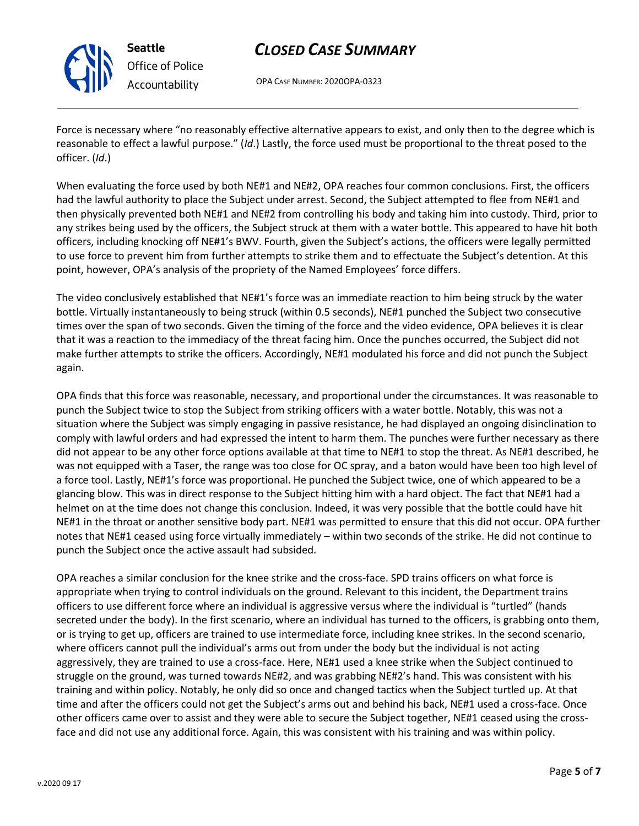

**Seattle** *Office of Police Accountability*

# *CLOSED CASE SUMMARY*

OPA CASE NUMBER: 2020OPA-0323

Force is necessary where "no reasonably effective alternative appears to exist, and only then to the degree which is reasonable to effect a lawful purpose." (*Id*.) Lastly, the force used must be proportional to the threat posed to the officer. (*Id*.)

When evaluating the force used by both NE#1 and NE#2, OPA reaches four common conclusions. First, the officers had the lawful authority to place the Subject under arrest. Second, the Subject attempted to flee from NE#1 and then physically prevented both NE#1 and NE#2 from controlling his body and taking him into custody. Third, prior to any strikes being used by the officers, the Subject struck at them with a water bottle. This appeared to have hit both officers, including knocking off NE#1's BWV. Fourth, given the Subject's actions, the officers were legally permitted to use force to prevent him from further attempts to strike them and to effectuate the Subject's detention. At this point, however, OPA's analysis of the propriety of the Named Employees' force differs.

The video conclusively established that NE#1's force was an immediate reaction to him being struck by the water bottle. Virtually instantaneously to being struck (within 0.5 seconds), NE#1 punched the Subject two consecutive times over the span of two seconds. Given the timing of the force and the video evidence, OPA believes it is clear that it was a reaction to the immediacy of the threat facing him. Once the punches occurred, the Subject did not make further attempts to strike the officers. Accordingly, NE#1 modulated his force and did not punch the Subject again.

OPA finds that this force was reasonable, necessary, and proportional under the circumstances. It was reasonable to punch the Subject twice to stop the Subject from striking officers with a water bottle. Notably, this was not a situation where the Subject was simply engaging in passive resistance, he had displayed an ongoing disinclination to comply with lawful orders and had expressed the intent to harm them. The punches were further necessary as there did not appear to be any other force options available at that time to NE#1 to stop the threat. As NE#1 described, he was not equipped with a Taser, the range was too close for OC spray, and a baton would have been too high level of a force tool. Lastly, NE#1's force was proportional. He punched the Subject twice, one of which appeared to be a glancing blow. This was in direct response to the Subject hitting him with a hard object. The fact that NE#1 had a helmet on at the time does not change this conclusion. Indeed, it was very possible that the bottle could have hit NE#1 in the throat or another sensitive body part. NE#1 was permitted to ensure that this did not occur. OPA further notes that NE#1 ceased using force virtually immediately – within two seconds of the strike. He did not continue to punch the Subject once the active assault had subsided.

OPA reaches a similar conclusion for the knee strike and the cross-face. SPD trains officers on what force is appropriate when trying to control individuals on the ground. Relevant to this incident, the Department trains officers to use different force where an individual is aggressive versus where the individual is "turtled" (hands secreted under the body). In the first scenario, where an individual has turned to the officers, is grabbing onto them, or is trying to get up, officers are trained to use intermediate force, including knee strikes. In the second scenario, where officers cannot pull the individual's arms out from under the body but the individual is not acting aggressively, they are trained to use a cross-face. Here, NE#1 used a knee strike when the Subject continued to struggle on the ground, was turned towards NE#2, and was grabbing NE#2's hand. This was consistent with his training and within policy. Notably, he only did so once and changed tactics when the Subject turtled up. At that time and after the officers could not get the Subject's arms out and behind his back, NE#1 used a cross-face. Once other officers came over to assist and they were able to secure the Subject together, NE#1 ceased using the crossface and did not use any additional force. Again, this was consistent with his training and was within policy.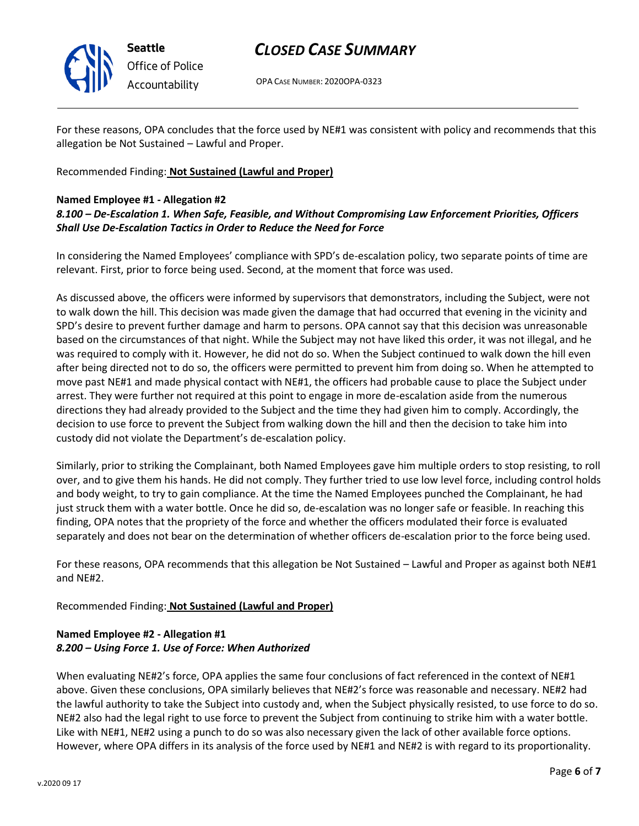

OPA CASE NUMBER: 2020OPA-0323

For these reasons, OPA concludes that the force used by NE#1 was consistent with policy and recommends that this allegation be Not Sustained – Lawful and Proper.

Recommended Finding: **Not Sustained (Lawful and Proper)**

### **Named Employee #1 - Allegation #2**

### *8.100 – De-Escalation 1. When Safe, Feasible, and Without Compromising Law Enforcement Priorities, Officers Shall Use De-Escalation Tactics in Order to Reduce the Need for Force*

In considering the Named Employees' compliance with SPD's de-escalation policy, two separate points of time are relevant. First, prior to force being used. Second, at the moment that force was used.

As discussed above, the officers were informed by supervisors that demonstrators, including the Subject, were not to walk down the hill. This decision was made given the damage that had occurred that evening in the vicinity and SPD's desire to prevent further damage and harm to persons. OPA cannot say that this decision was unreasonable based on the circumstances of that night. While the Subject may not have liked this order, it was not illegal, and he was required to comply with it. However, he did not do so. When the Subject continued to walk down the hill even after being directed not to do so, the officers were permitted to prevent him from doing so. When he attempted to move past NE#1 and made physical contact with NE#1, the officers had probable cause to place the Subject under arrest. They were further not required at this point to engage in more de-escalation aside from the numerous directions they had already provided to the Subject and the time they had given him to comply. Accordingly, the decision to use force to prevent the Subject from walking down the hill and then the decision to take him into custody did not violate the Department's de-escalation policy.

Similarly, prior to striking the Complainant, both Named Employees gave him multiple orders to stop resisting, to roll over, and to give them his hands. He did not comply. They further tried to use low level force, including control holds and body weight, to try to gain compliance. At the time the Named Employees punched the Complainant, he had just struck them with a water bottle. Once he did so, de-escalation was no longer safe or feasible. In reaching this finding, OPA notes that the propriety of the force and whether the officers modulated their force is evaluated separately and does not bear on the determination of whether officers de-escalation prior to the force being used.

For these reasons, OPA recommends that this allegation be Not Sustained – Lawful and Proper as against both NE#1 and NE#2.

Recommended Finding: **Not Sustained (Lawful and Proper)**

## **Named Employee #2 - Allegation #1** *8.200 – Using Force 1. Use of Force: When Authorized*

When evaluating NE#2's force, OPA applies the same four conclusions of fact referenced in the context of NE#1 above. Given these conclusions, OPA similarly believes that NE#2's force was reasonable and necessary. NE#2 had the lawful authority to take the Subject into custody and, when the Subject physically resisted, to use force to do so. NE#2 also had the legal right to use force to prevent the Subject from continuing to strike him with a water bottle. Like with NE#1, NE#2 using a punch to do so was also necessary given the lack of other available force options. However, where OPA differs in its analysis of the force used by NE#1 and NE#2 is with regard to its proportionality.